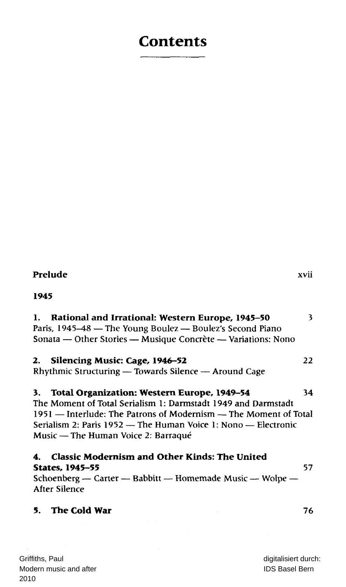## **Contents**

**Prelud**

| 1945 |                                                                                                                                                                               |     |
|------|-------------------------------------------------------------------------------------------------------------------------------------------------------------------------------|-----|
| 1.   | Rational and Irrational: Western Europe, 1945-50<br>Paris, 1945-48 - The Young Boulez - Boulez's Second Piano<br>Sonata — Other Stories — Musique Concrète — Variations: Nono | 3.  |
|      | 2. Silencing Music: Cage, 1946-52                                                                                                                                             | 22. |
|      | Rhythmic Structuring — Towards Silence — Around Cage                                                                                                                          |     |
|      | 3. Total Organization: Western Europe, 1949–54                                                                                                                                | 34  |
|      | The Moment of Total Serialism 1: Darmstadt 1949 and Darmstadt                                                                                                                 |     |
|      | 1951 — Interlude: The Patrons of Modernism — The Moment of Total                                                                                                              |     |
|      | Serialism 2: Paris 1952 — The Human Voice 1: Nono — Electronic                                                                                                                |     |
|      | Music — The Human Voice 2: Barraqué                                                                                                                                           |     |
|      | 4. Classic Modernism and Other Kinds: The United                                                                                                                              |     |
|      | States, 1945-55                                                                                                                                                               | 57  |
|      | Schoenberg - Carter - Babbitt - Homemade Music - Wolpe -                                                                                                                      |     |
|      | After Silence                                                                                                                                                                 |     |
| 5.   | The Cold War                                                                                                                                                                  | 76  |

**e** xvii

Griffiths, Paul Modern music and after 2010

digitalisiert durch: IDS Basel Bern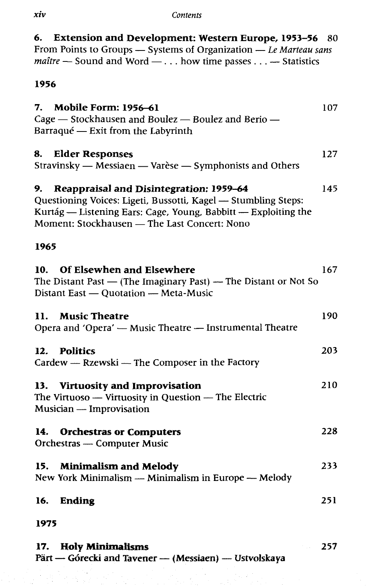## **6. Extension and Development: Western Europe, 1953-56** 80 From Points to Groups — Systems of Organization — *Le Marteau sans maitre* — Sound and Word — .. . how time passes .. . — Statistics

## **1956**

| 7.   | Mobile Form: 1956–61                                                                     | 107 |
|------|------------------------------------------------------------------------------------------|-----|
|      | Cage - Stockhausen and Boulez - Boulez and Berio -                                       |     |
|      | Barraqué — Exit from the Labyrinth                                                       |     |
|      |                                                                                          |     |
| 8.   | <b>Elder Responses</b>                                                                   | 127 |
|      | Stravinsky — Messiaen — Varèse — Symphonists and Others                                  |     |
| 9.   | Reappraisal and Disintegration: 1959-64                                                  | 145 |
|      | Questioning Voices: Ligeti, Bussotti, Kagel - Stumbling Steps:                           |     |
|      | Kurtág — Listening Ears: Cage, Young, Babbitt — Exploiting the                           |     |
|      | Moment: Stockhausen - The Last Concert: Nono                                             |     |
|      |                                                                                          |     |
| 1965 |                                                                                          |     |
| 10.  | Of Elsewhen and Elsewhere                                                                | 167 |
|      | The Distant Past $-$ (The Imaginary Past) $-$ The Distant or Not So                      |     |
|      | Distant East - Quotation - Meta-Music                                                    |     |
|      |                                                                                          |     |
| 11.  | <b>Music Theatre</b>                                                                     | 190 |
|      | Opera and 'Opera' - Music Theatre - Instrumental Theatre                                 |     |
|      |                                                                                          |     |
|      | 12. Politics                                                                             | 203 |
|      | Cardew — Rzewski — The Composer in the Factory                                           |     |
|      |                                                                                          | 210 |
|      | 13. Virtuosity and Improvisation<br>The Virtuoso — Virtuosity in Question — The Electric |     |
|      | Musician — Improvisation                                                                 |     |
|      |                                                                                          |     |
|      | 14. Orchestras or Computers                                                              | 228 |
|      | Orchestras — Computer Music                                                              |     |
|      |                                                                                          |     |
|      | 15. Minimalism and Melody                                                                | 233 |
|      | New York Minimalism — Minimalism in Europe — Melody                                      |     |
| 16.  | Ending                                                                                   | 251 |
| 1975 |                                                                                          |     |
|      |                                                                                          |     |
| 17.  | <b>Holy Minimalisms</b>                                                                  | 257 |

Pärt — Górecki and Tavener — (Messiaen) — Ustvolskaya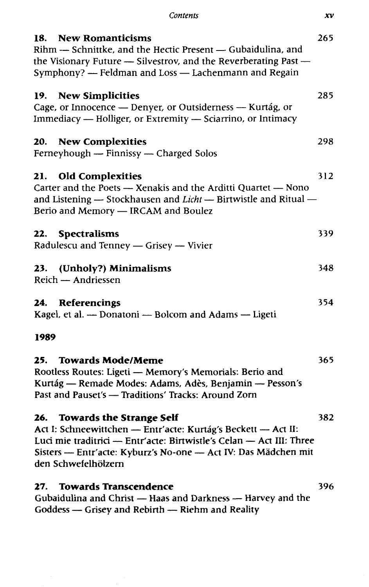## *Contents xv*

| 18. New Romanticisms<br>Rihm - Schnittke, and the Hectic Present - Gubaidulina, and<br>the Visionary Future - Silvestrov, and the Reverberating Past -<br>Symphony? - Feldman and Loss - Lachenmann and Regain                                                           | 265 |
|--------------------------------------------------------------------------------------------------------------------------------------------------------------------------------------------------------------------------------------------------------------------------|-----|
| <b>New Simplicities</b><br>19.<br>Cage, or Innocence - Denyer, or Outsiderness - Kurtág, or<br>Immediacy — Holliger, or Extremity — Sciarrino, or Intimacy                                                                                                               | 285 |
| 20.<br><b>New Complexities</b><br>Ferneyhough — Finnissy — Charged Solos                                                                                                                                                                                                 | 298 |
| <b>Old Complexities</b><br>21.<br>Carter and the Poets - Xenakis and the Arditti Quartet - Nono<br>and Listening - Stockhausen and Licht - Birtwistle and Ritual -<br>Berio and Memory - IRCAM and Boulez                                                                | 312 |
| 22.<br><b>Spectralisms</b><br>Radulescu and Tenney — Grisey — Vivier                                                                                                                                                                                                     | 339 |
| 23.<br>(Unholy?) Minimalisms<br>Reich — Andriessen                                                                                                                                                                                                                       | 348 |
| 24.<br>Referencings<br>Kagel, et al. - Donatoni - Bolcom and Adams - Ligeti                                                                                                                                                                                              | 354 |
| 1989                                                                                                                                                                                                                                                                     |     |
| 25.<br><b>Towards Mode/Meme</b><br>Rootless Routes: Ligeti - Memory's Memorials: Berio and<br>Kurtág — Remade Modes: Adams, Adès, Benjamin — Pesson's<br>Past and Pauset's - Traditions' Tracks: Around Zorn                                                             | 365 |
| <b>Towards the Strange Self</b><br>26.<br>Act I: Schneewittchen - Entr'acte: Kurtág's Beckett - Act II:<br>Luci mie traditrici — Entr'acte: Birtwistle's Celan — Act III: Three<br>Sisters - Entr'acte: Kyburz's No-one - Act IV: Das Mädchen mit<br>den Schwefelhölzern | 382 |
| <b>Towards Transcendence</b><br>27.<br>Gubaidulina and Christ - Haas and Darkness - Harvey and the<br>Goddess - Grisey and Rebirth - Riehm and Reality                                                                                                                   | 396 |